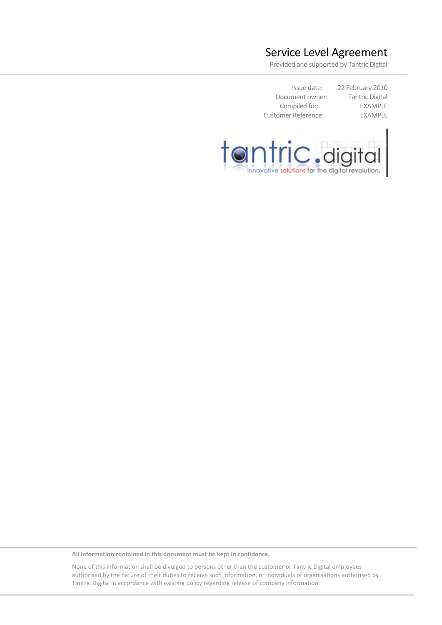# Service Level Agreement

Provided and supported by Tantric Digital

Issue date: 22 February 2010 Document owner: Tantric Digital Compiled for: EXAMPLE Customer Reference: EXAMPLE



**All information contained in this document must be kept in confidence.** 

None of this information shall be divulged to persons other than the customer or Tantric Digital employees authorised by the nature of their duties to receive such information, or individuals of organisations authorised by Tantric Digital in accordance with existing policy regarding release of company information.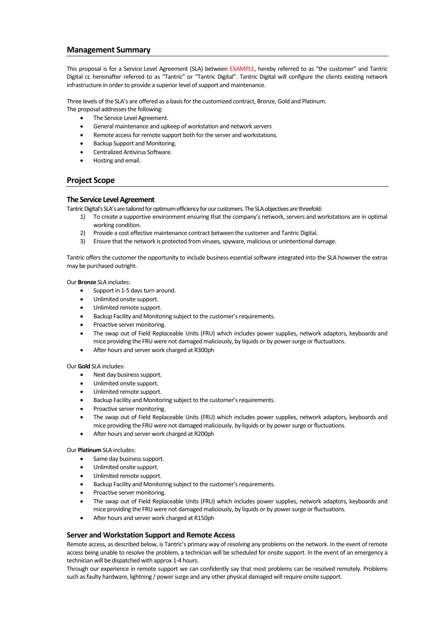### **Management Summary**

This proposal is for a Service Level Agreement (SLA) between EXAMPLE, hereby referred to as "the customer" and Tantric Digital cc hereinafter referred to as "Tantric" or "Tantric Digital". Tantric Digital will configure the clients existing network infrastructure in order to provide a superior level of support and maintenance.

Three levels of the SLA's are offered as a basis for the customized contract, Bronze, Gold and Platinum.

- The proposal addresses the following: The Service Level Agreement.
	- General maintenance and upkeep of workstation and network servers
	- Remote access for remote support both for the server and workstations.
	- Backup Support and Monitoring.
	- Centralized Antivirus Software.
	- Hosting and email.

# **Project Scope**

### **The Service Level Agreement**

Tantric Digital's SLA's are tailored for optimum efficiency for our customers. The SLA objectives are threefold:

- 1) To create a supportive environment ensuring that the company's network, servers and workstations are in optimal working condition.
- 2) Provide a cost effective maintenance contract between the customer and Tantric Digital.
- 3) Ensure that the network is protected from viruses, spyware, malicious or unintentional damage.

Tantric offers the customer the opportunity to include business essential software integrated into the SLA however the extras may be purchased outright.

Our **Bronze** SLA includes:

- Support in 1-5 days turn around.
- Unlimited onsite support.
- Unlimited remote support.
- Backup Facility and Monitoring subject to the customer's requirements.
- Proactive server monitoring.
- The swap out of Field Replaceable Units (FRU) which includes power supplies, network adaptors, keyboards and mice providing the FRU were not damaged maliciously, by liquids or by power surge or fluctuations.
- After hours and server work charged at R300ph

#### Our **Gold** SLA includes:

- Next day business support.
- Unlimited onsite support.
- Unlimited remote support.
- Backup Facility and Monitoring subject to the customer's requirements.
- Proactive server monitoring.
- The swap out of Field Replaceable Units (FRU) which includes power supplies, network adaptors, keyboards and mice providing the FRU were not damaged maliciously, by liquids or by power surge or fluctuations.
- After hours and server work charged at R200ph

#### Our **Platinum** SLA includes:

- Same day business support.
- Unlimited onsite support.
- Unlimited remote support.
- Backup Facility and Monitoring subject to the customer's requirements.
- Proactive server monitoring.
- The swap out of Field Replaceable Units (FRU) which includes power supplies, network adaptors, keyboards and mice providing the FRU were not damaged maliciously, by liquids or by power surge or fluctuations.
- After hours and server work charged at R150ph

#### **Server and Workstation Support and Remote Access**

Remote access, as described below, is Tantric's primary way of resolving any problems on the network. In the event of remote access being unable to resolve the problem, a technician will be scheduled for onsite support. In the event of an emergency a technician will be dispatched with approx 1-4 hours.

Through our experience in remote support we can confidently say that most problems can be resolved remotely. Problems such as faulty hardware, lightning / power surge and any other physical damaged will require onsite support.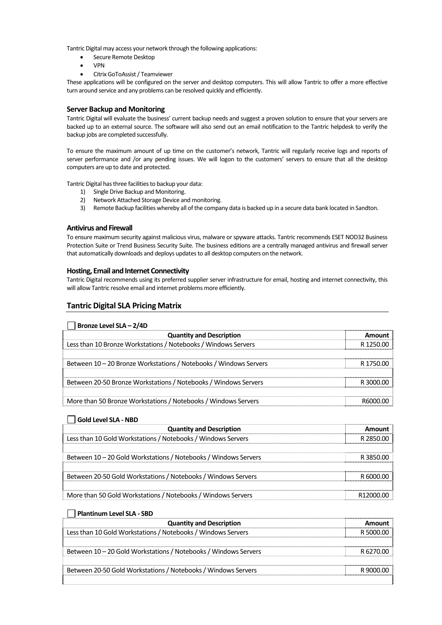Tantric Digital may access your network through the following applications:

- Secure Remote Desktop
- VPN
- Citrix GoToAssist / Teamviewer

These applications will be configured on the server and desktop computers. This will allow Tantric to offer a more effective turn around service and any problems can be resolved quickly and efficiently.

### **Server Backup and Monitoring**

Tantric Digital will evaluate the business' current backup needs and suggest a proven solution to ensure that your servers are backed up to an external source. The software will also send out an email notification to the Tantric helpdesk to verify the backup jobs are completed successfully.

To ensure the maximum amount of up time on the customer's network, Tantric will regularly receive logs and reports of server performance and /or any pending issues. We will logon to the customers' servers to ensure that all the desktop computers are up to date and protected.

Tantric Digital has three facilities to backup your data:

- 1) Single Drive Backup and Monitoring.
- 2) Network Attached Storage Device and monitoring.
- 3) Remote Backup facilities whereby all of the company data is backed up in a secure data bank located in Sandton.

### **Antivirus and Firewall**

To ensure maximum security against malicious virus, malware or spyware attacks. Tantric recommends ESET NOD32 Business Protection Suite or Trend Business Security Suite. The business editions are a centrally managed antivirus and firewall server that automatically downloads and deploys updates to all desktop computers on the network.

### **Hosting, Email and Internet Connectivity**

Tantric Digital recommends using its preferred supplier server infrastructure for email, hosting and internet connectivity, this will allow Tantric resolve email and internet problems more efficiently.

# **Tantric Digital SLA Pricing Matrix**

#### $\Box$  Bronze Level SLA –  $2/4D$

| <b>Quantity and Description</b>                                   | Amount    |
|-------------------------------------------------------------------|-----------|
| Less than 10 Bronze Workstations / Notebooks / Windows Servers    | R 1250.00 |
|                                                                   |           |
| Between 10 - 20 Bronze Workstations / Notebooks / Windows Servers | R 1750 00 |
|                                                                   |           |
| Between 20-50 Bronze Workstations / Notebooks / Windows Servers   | R 3000 00 |
|                                                                   |           |
| More than 50 Bronze Workstations / Notebooks / Windows Servers    |           |

# **Gold Level SLA - NBD**

| <b>Quantity and Description</b>                                 | Amount     |
|-----------------------------------------------------------------|------------|
| Less than 10 Gold Workstations / Notebooks / Windows Servers    | R 2850.00  |
|                                                                 |            |
| Between 10 - 20 Gold Workstations / Notebooks / Windows Servers | R 3850.00  |
|                                                                 |            |
| Between 20-50 Gold Workstations / Notebooks / Windows Servers   | -8 6000 00 |
|                                                                 |            |
| More than 50 Gold Workstations / Notebooks / Windows Servers    | R12000.00  |

#### **Plantinum Level SLA - SBD**

| <b>Quantity and Description</b>                                 |            |
|-----------------------------------------------------------------|------------|
| Less than 10 Gold Workstations / Notebooks / Windows Servers    | -8 5000 00 |
|                                                                 |            |
| Between 10 - 20 Gold Workstations / Notebooks / Windows Servers | -8 6270.00 |
|                                                                 |            |
| Between 20-50 Gold Workstations / Notebooks / Windows Servers   | R 9000 OC  |
|                                                                 |            |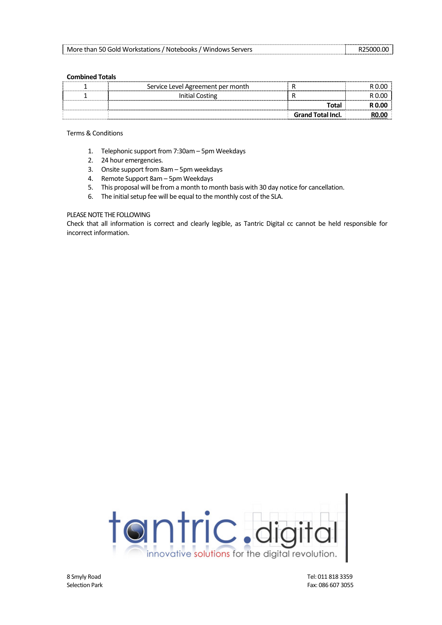| More than 50 Gold Workstations / Notebooks / Windows Servers | R25000.00 |
|--------------------------------------------------------------|-----------|

### **Combined Totals**

| Service Level Agreement per month |                          |  |
|-----------------------------------|--------------------------|--|
| Initial Costing                   |                          |  |
|                                   | Total                    |  |
|                                   | <b>Grand Total Incl.</b> |  |

### Terms & Conditions

- 1. Telephonic support from 7:30am 5pm Weekdays
- 2. 24 hour emergencies.
- 3. Onsite support from 8am 5pm weekdays
- 4. Remote Support 8am 5pm Weekdays
- 5. This proposal will be from a month to month basis with 30 day notice for cancellation.
- 6. The initial setup fee will be equal to the monthly cost of the SLA.

# PLEASE NOTE THE FOLLOWING

Check that all information is correct and clearly legible, as Tantric Digital cc cannot be held responsible for incorrect information.



8 Smyly Road Tel: 011 818 3359 Selection Park Fax: 086 607 3055